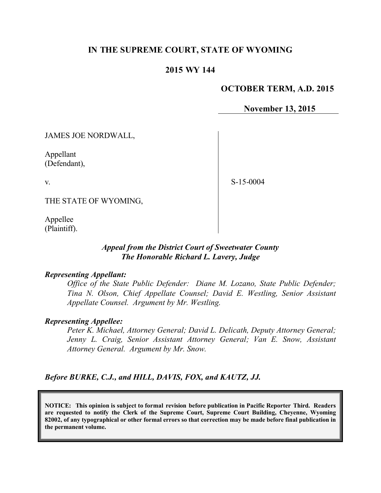## **IN THE SUPREME COURT, STATE OF WYOMING**

#### **2015 WY 144**

#### **OCTOBER TERM, A.D. 2015**

**November 13, 2015**

JAMES JOE NORDWALL,

Appellant (Defendant),

v.

S-15-0004

THE STATE OF WYOMING,

Appellee (Plaintiff).

#### *Appeal from the District Court of Sweetwater County The Honorable Richard L. Lavery, Judge*

#### *Representing Appellant:*

*Office of the State Public Defender: Diane M. Lozano, State Public Defender; Tina N. Olson, Chief Appellate Counsel; David E. Westling, Senior Assistant Appellate Counsel. Argument by Mr. Westling.*

#### *Representing Appellee:*

*Peter K. Michael, Attorney General; David L. Delicath, Deputy Attorney General; Jenny L. Craig, Senior Assistant Attorney General; Van E. Snow, Assistant Attorney General. Argument by Mr. Snow.*

*Before BURKE, C.J., and HILL, DAVIS, FOX, and KAUTZ, JJ.*

**NOTICE: This opinion is subject to formal revision before publication in Pacific Reporter Third. Readers are requested to notify the Clerk of the Supreme Court, Supreme Court Building, Cheyenne, Wyoming 82002, of any typographical or other formal errors so that correction may be made before final publication in the permanent volume.**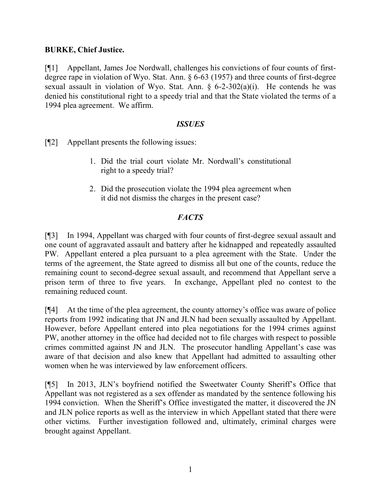## **BURKE, Chief Justice.**

[¶1] Appellant, James Joe Nordwall, challenges his convictions of four counts of firstdegree rape in violation of Wyo. Stat. Ann. § 6-63 (1957) and three counts of first-degree sexual assault in violation of Wyo. Stat. Ann.  $\frac{6}{2}$ -302(a)(i). He contends he was denied his constitutional right to a speedy trial and that the State violated the terms of a 1994 plea agreement. We affirm.

## *ISSUES*

[¶2] Appellant presents the following issues:

- 1. Did the trial court violate Mr. Nordwall's constitutional right to a speedy trial?
- 2. Did the prosecution violate the 1994 plea agreement when it did not dismiss the charges in the present case?

# *FACTS*

[¶3] In 1994, Appellant was charged with four counts of first-degree sexual assault and one count of aggravated assault and battery after he kidnapped and repeatedly assaulted PW. Appellant entered a plea pursuant to a plea agreement with the State. Under the terms of the agreement, the State agreed to dismiss all but one of the counts, reduce the remaining count to second-degree sexual assault, and recommend that Appellant serve a prison term of three to five years. In exchange, Appellant pled no contest to the remaining reduced count.

[¶4] At the time of the plea agreement, the county attorney's office was aware of police reports from 1992 indicating that JN and JLN had been sexually assaulted by Appellant. However, before Appellant entered into plea negotiations for the 1994 crimes against PW, another attorney in the office had decided not to file charges with respect to possible crimes committed against JN and JLN. The prosecutor handling Appellant's case was aware of that decision and also knew that Appellant had admitted to assaulting other women when he was interviewed by law enforcement officers.

[¶5] In 2013, JLN's boyfriend notified the Sweetwater County Sheriff's Office that Appellant was not registered as a sex offender as mandated by the sentence following his 1994 conviction. When the Sheriff's Office investigated the matter, it discovered the JN and JLN police reports as well as the interview in which Appellant stated that there were other victims. Further investigation followed and, ultimately, criminal charges were brought against Appellant.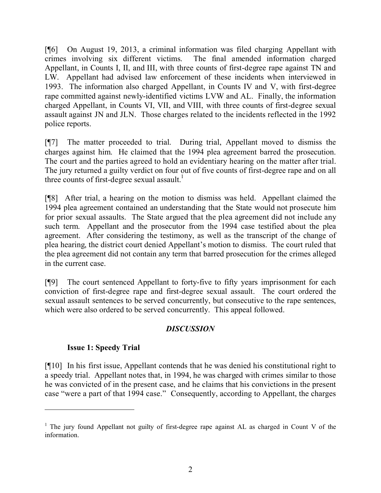[¶6] On August 19, 2013, a criminal information was filed charging Appellant with crimes involving six different victims. The final amended information charged Appellant, in Counts I, II, and III, with three counts of first-degree rape against TN and LW. Appellant had advised law enforcement of these incidents when interviewed in 1993. The information also charged Appellant, in Counts IV and V, with first-degree rape committed against newly-identified victims LVW and AL. Finally, the information charged Appellant, in Counts VI, VII, and VIII, with three counts of first-degree sexual assault against JN and JLN. Those charges related to the incidents reflected in the 1992 police reports.

[¶7] The matter proceeded to trial. During trial, Appellant moved to dismiss the charges against him. He claimed that the 1994 plea agreement barred the prosecution. The court and the parties agreed to hold an evidentiary hearing on the matter after trial. The jury returned a guilty verdict on four out of five counts of first-degree rape and on all three counts of first-degree sexual assault.<sup>1</sup>

[¶8] After trial, a hearing on the motion to dismiss was held. Appellant claimed the 1994 plea agreement contained an understanding that the State would not prosecute him for prior sexual assaults. The State argued that the plea agreement did not include any such term. Appellant and the prosecutor from the 1994 case testified about the plea agreement. After considering the testimony, as well as the transcript of the change of plea hearing, the district court denied Appellant's motion to dismiss. The court ruled that the plea agreement did not contain any term that barred prosecution for the crimes alleged in the current case.

[¶9] The court sentenced Appellant to forty-five to fifty years imprisonment for each conviction of first-degree rape and first-degree sexual assault. The court ordered the sexual assault sentences to be served concurrently, but consecutive to the rape sentences, which were also ordered to be served concurrently. This appeal followed.

## *DISCUSSION*

## **Issue 1: Speedy Trial**

 $\overline{a}$ 

[¶10] In his first issue, Appellant contends that he was denied his constitutional right to a speedy trial. Appellant notes that, in 1994, he was charged with crimes similar to those he was convicted of in the present case, and he claims that his convictions in the present case "were a part of that 1994 case." Consequently, according to Appellant, the charges

<sup>&</sup>lt;sup>1</sup> The jury found Appellant not guilty of first-degree rape against AL as charged in Count V of the information.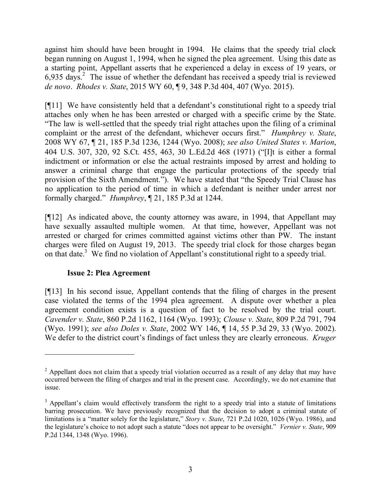against him should have been brought in 1994. He claims that the speedy trial clock began running on August 1, 1994, when he signed the plea agreement. Using this date as a starting point, Appellant asserts that he experienced a delay in excess of 19 years, or  $6,935$  days.<sup>2</sup> The issue of whether the defendant has received a speedy trial is reviewed *de novo*. *Rhodes v. State*, 2015 WY 60, ¶ 9, 348 P.3d 404, 407 (Wyo. 2015).

[¶11] We have consistently held that a defendant's constitutional right to a speedy trial attaches only when he has been arrested or charged with a specific crime by the State. "The law is well-settled that the speedy trial right attaches upon the filing of a criminal complaint or the arrest of the defendant, whichever occurs first." *Humphrey v. State*, 2008 WY 67, ¶ 21, 185 P.3d 1236, 1244 (Wyo. 2008); *see also United States v. Marion*, 404 U.S. 307, 320, 92 S.Ct. 455, 463, 30 L.Ed.2d 468 (1971) ("[I]t is either a formal indictment or information or else the actual restraints imposed by arrest and holding to answer a criminal charge that engage the particular protections of the speedy trial provision of the Sixth Amendment."). We have stated that "the Speedy Trial Clause has no application to the period of time in which a defendant is neither under arrest nor formally charged." *Humphrey*, ¶ 21, 185 P.3d at 1244.

[¶12] As indicated above, the county attorney was aware, in 1994, that Appellant may have sexually assaulted multiple women. At that time, however, Appellant was not arrested or charged for crimes committed against victims other than PW. The instant charges were filed on August 19, 2013. The speedy trial clock for those charges began on that date.<sup>3</sup> We find no violation of Appellant's constitutional right to a speedy trial.

## **Issue 2: Plea Agreement**

 $\overline{a}$ 

[¶13] In his second issue, Appellant contends that the filing of charges in the present case violated the terms of the 1994 plea agreement. A dispute over whether a plea agreement condition exists is a question of fact to be resolved by the trial court. *Cavender v. State*, 860 P.2d 1162, 1164 (Wyo. 1993); *Clouse v. State*, 809 P.2d 791, 794 (Wyo. 1991); *see also Doles v. State*, 2002 WY 146, ¶ 14, 55 P.3d 29, 33 (Wyo. 2002). We defer to the district court's findings of fact unless they are clearly erroneous. *Kruger* 

<sup>&</sup>lt;sup>2</sup> Appellant does not claim that a speedy trial violation occurred as a result of any delay that may have occurred between the filing of charges and trial in the present case. Accordingly, we do not examine that issue.

<sup>&</sup>lt;sup>3</sup> Appellant's claim would effectively transform the right to a speedy trial into a statute of limitations barring prosecution. We have previously recognized that the decision to adopt a criminal statute of limitations is a "matter solely for the legislature," *Story v. State*, 721 P.2d 1020, 1026 (Wyo. 1986), and the legislature's choice to not adopt such a statute "does not appear to be oversight." *Vernier v. State*, 909 P.2d 1344, 1348 (Wyo. 1996).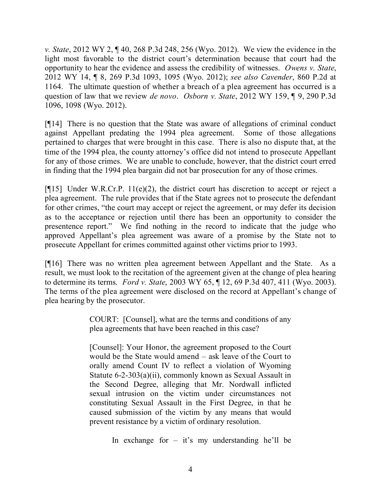*v. State*, 2012 WY 2, ¶ 40, 268 P.3d 248, 256 (Wyo. 2012). We view the evidence in the light most favorable to the district court's determination because that court had the opportunity to hear the evidence and assess the credibility of witnesses. *Owens v. State*, 2012 WY 14, ¶ 8, 269 P.3d 1093, 1095 (Wyo. 2012); *see also Cavender*, 860 P.2d at 1164. The ultimate question of whether a breach of a plea agreement has occurred is a question of law that we review *de novo*. *Osborn v. State*, 2012 WY 159, ¶ 9, 290 P.3d 1096, 1098 (Wyo. 2012).

[¶14] There is no question that the State was aware of allegations of criminal conduct against Appellant predating the 1994 plea agreement. Some of those allegations pertained to charges that were brought in this case. There is also no dispute that, at the time of the 1994 plea, the county attorney's office did not intend to prosecute Appellant for any of those crimes. We are unable to conclude, however, that the district court erred in finding that the 1994 plea bargain did not bar prosecution for any of those crimes.

[ $[15]$  Under W.R.Cr.P. 11(e)(2), the district court has discretion to accept or reject a plea agreement. The rule provides that if the State agrees not to prosecute the defendant for other crimes, "the court may accept or reject the agreement, or may defer its decision as to the acceptance or rejection until there has been an opportunity to consider the presentence report." We find nothing in the record to indicate that the judge who approved Appellant's plea agreement was aware of a promise by the State not to prosecute Appellant for crimes committed against other victims prior to 1993.

[¶16] There was no written plea agreement between Appellant and the State. As a result, we must look to the recitation of the agreement given at the change of plea hearing to determine its terms. *Ford v. State*, 2003 WY 65, ¶ 12, 69 P.3d 407, 411 (Wyo. 2003). The terms of the plea agreement were disclosed on the record at Appellant's change of plea hearing by the prosecutor.

> COURT: [Counsel], what are the terms and conditions of any plea agreements that have been reached in this case?

> [Counsel]: Your Honor, the agreement proposed to the Court would be the State would amend – ask leave of the Court to orally amend Count IV to reflect a violation of Wyoming Statute 6-2-303(a)(ii), commonly known as Sexual Assault in the Second Degree, alleging that Mr. Nordwall inflicted sexual intrusion on the victim under circumstances not constituting Sexual Assault in the First Degree, in that he caused submission of the victim by any means that would prevent resistance by a victim of ordinary resolution.

> > In exchange for  $-$  it's my understanding he'll be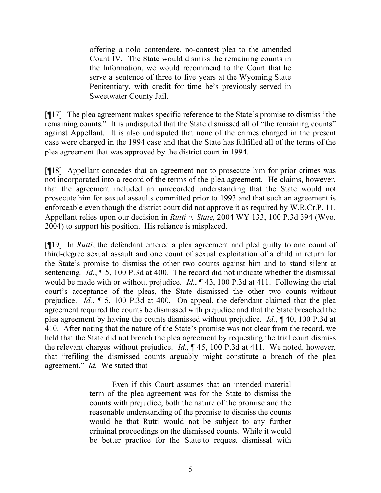offering a nolo contendere, no-contest plea to the amended Count IV. The State would dismiss the remaining counts in the Information, we would recommend to the Court that he serve a sentence of three to five years at the Wyoming State Penitentiary, with credit for time he's previously served in Sweetwater County Jail.

[¶17] The plea agreement makes specific reference to the State's promise to dismiss "the remaining counts." It is undisputed that the State dismissed all of "the remaining counts" against Appellant. It is also undisputed that none of the crimes charged in the present case were charged in the 1994 case and that the State has fulfilled all of the terms of the plea agreement that was approved by the district court in 1994.

[¶18] Appellant concedes that an agreement not to prosecute him for prior crimes was not incorporated into a record of the terms of the plea agreement. He claims, however, that the agreement included an unrecorded understanding that the State would not prosecute him for sexual assaults committed prior to 1993 and that such an agreement is enforceable even though the district court did not approve it as required by W.R.Cr.P. 11. Appellant relies upon our decision in *Rutti v. State*, 2004 WY 133, 100 P.3d 394 (Wyo. 2004) to support his position. His reliance is misplaced.

[¶19] In *Rutti*, the defendant entered a plea agreement and pled guilty to one count of third-degree sexual assault and one count of sexual exploitation of a child in return for the State's promise to dismiss the other two counts against him and to stand silent at sentencing. *Id.*, ¶ 5, 100 P.3d at 400. The record did not indicate whether the dismissal would be made with or without prejudice. *Id.*, ¶ 43, 100 P.3d at 411. Following the trial court's acceptance of the pleas, the State dismissed the other two counts without prejudice. *Id.*, ¶ 5, 100 P.3d at 400. On appeal, the defendant claimed that the plea agreement required the counts be dismissed with prejudice and that the State breached the plea agreement by having the counts dismissed without prejudice. *Id.*, ¶ 40, 100 P.3d at 410. After noting that the nature of the State's promise was not clear from the record, we held that the State did not breach the plea agreement by requesting the trial court dismiss the relevant charges without prejudice. *Id.*, ¶ 45, 100 P.3d at 411. We noted, however, that "refiling the dismissed counts arguably might constitute a breach of the plea agreement." *Id.* We stated that

> Even if this Court assumes that an intended material term of the plea agreement was for the State to dismiss the counts with prejudice, both the nature of the promise and the reasonable understanding of the promise to dismiss the counts would be that Rutti would not be subject to any further criminal proceedings on the dismissed counts. While it would be better practice for the State to request dismissal with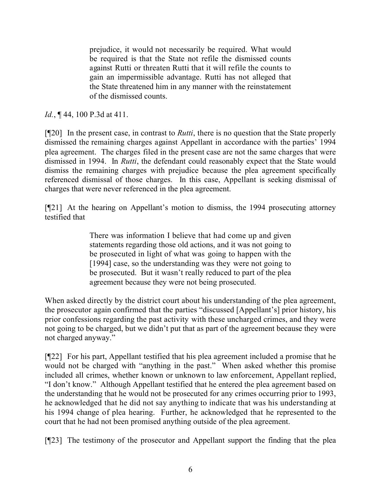prejudice, it would not necessarily be required. What would be required is that the State not refile the dismissed counts against Rutti or threaten Rutti that it will refile the counts to gain an impermissible advantage. Rutti has not alleged that the State threatened him in any manner with the reinstatement of the dismissed counts.

*Id.*, ¶ 44, 100 P.3d at 411.

[¶20] In the present case, in contrast to *Rutti*, there is no question that the State properly dismissed the remaining charges against Appellant in accordance with the parties' 1994 plea agreement. The charges filed in the present case are not the same charges that were dismissed in 1994. In *Rutti*, the defendant could reasonably expect that the State would dismiss the remaining charges with prejudice because the plea agreement specifically referenced dismissal of those charges. In this case, Appellant is seeking dismissal of charges that were never referenced in the plea agreement.

[¶21] At the hearing on Appellant's motion to dismiss, the 1994 prosecuting attorney testified that

> There was information I believe that had come up and given statements regarding those old actions, and it was not going to be prosecuted in light of what was going to happen with the [1994] case, so the understanding was they were not going to be prosecuted. But it wasn't really reduced to part of the plea agreement because they were not being prosecuted.

When asked directly by the district court about his understanding of the plea agreement, the prosecutor again confirmed that the parties "discussed [Appellant's] prior history, his prior confessions regarding the past activity with these uncharged crimes, and they were not going to be charged, but we didn't put that as part of the agreement because they were not charged anyway."

[¶22] For his part, Appellant testified that his plea agreement included a promise that he would not be charged with "anything in the past." When asked whether this promise included all crimes, whether known or unknown to law enforcement, Appellant replied, "I don't know." Although Appellant testified that he entered the plea agreement based on the understanding that he would not be prosecuted for any crimes occurring prior to 1993, he acknowledged that he did not say anything to indicate that was his understanding at his 1994 change of plea hearing. Further, he acknowledged that he represented to the court that he had not been promised anything outside of the plea agreement.

[¶23] The testimony of the prosecutor and Appellant support the finding that the plea